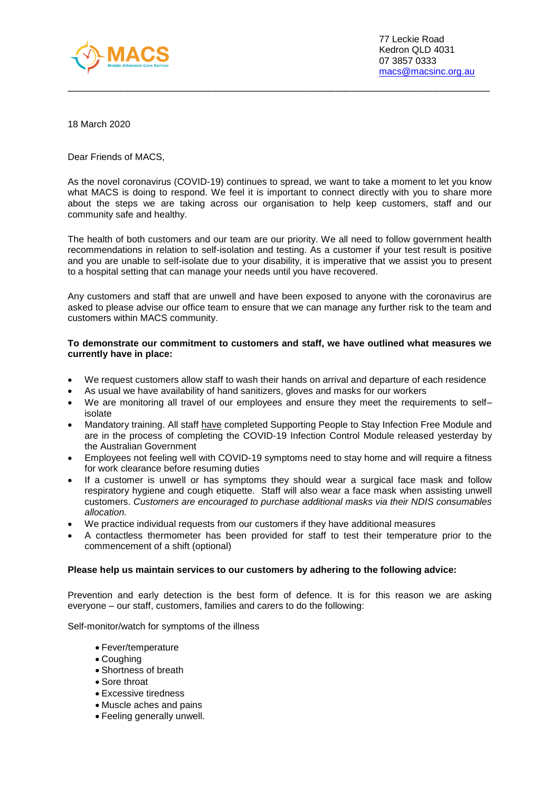

18 March 2020

Dear Friends of MACS,

As the novel coronavirus (COVID-19) continues to spread, we want to take a moment to let you know what MACS is doing to respond. We feel it is important to connect directly with you to share more about the steps we are taking across our organisation to help keep customers, staff and our community safe and healthy.

\_\_\_\_\_\_\_\_\_\_\_\_\_\_\_\_\_\_\_\_\_\_\_\_\_\_\_\_\_\_\_\_\_\_\_\_\_\_\_\_\_\_\_\_\_\_\_\_\_\_\_\_\_\_\_\_\_\_\_\_\_\_\_\_\_\_\_\_\_\_\_\_\_\_\_\_\_\_\_\_\_\_

The health of both customers and our team are our priority. We all need to follow government health recommendations in relation to self-isolation and testing. As a customer if your test result is positive and you are unable to self-isolate due to your disability, it is imperative that we assist you to present to a hospital setting that can manage your needs until you have recovered.

Any customers and staff that are unwell and have been exposed to anyone with the coronavirus are asked to please advise our office team to ensure that we can manage any further risk to the team and customers within MACS community.

#### **To demonstrate our commitment to customers and staff, we have outlined what measures we currently have in place:**

- We request customers allow staff to wash their hands on arrival and departure of each residence
- As usual we have availability of hand sanitizers, gloves and masks for our workers
- We are monitoring all travel of our employees and ensure they meet the requirements to selfisolate
- Mandatory training. All staff have completed Supporting People to Stay Infection Free Module and are in the process of completing the COVID-19 Infection Control Module released yesterday by the Australian Government
- Employees not feeling well with COVID-19 symptoms need to stay home and will require a fitness for work clearance before resuming duties
- If a customer is unwell or has symptoms they should wear a surgical face mask and follow respiratory hygiene and cough etiquette. Staff will also wear a face mask when assisting unwell customers. *Customers are encouraged to purchase additional masks via their NDIS consumables allocation.*
- We practice individual requests from our customers if they have additional measures
- A contactless thermometer has been provided for staff to test their temperature prior to the commencement of a shift (optional)

# **Please help us maintain services to our customers by adhering to the following advice:**

Prevention and early detection is the best form of defence. It is for this reason we are asking everyone – our staff, customers, families and carers to do the following:

Self-monitor/watch for symptoms of the illness

- Fever/temperature
- Coughing
- Shortness of breath
- Sore throat
- Excessive tiredness
- Muscle aches and pains
- Feeling generally unwell.